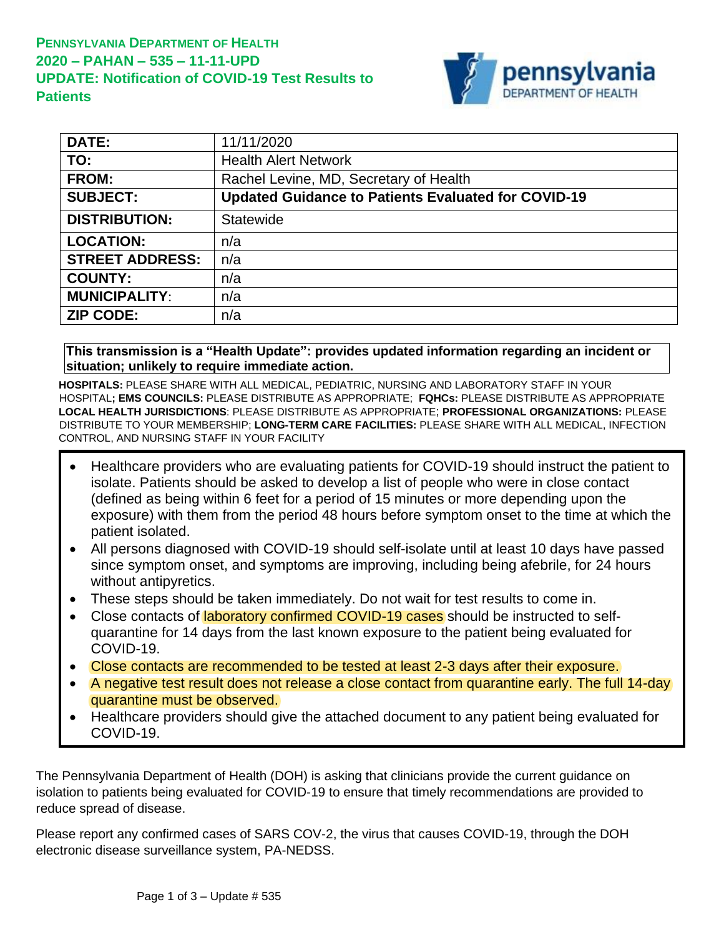

| <b>DATE:</b>           | 11/11/2020                                                 |
|------------------------|------------------------------------------------------------|
| TO:                    | <b>Health Alert Network</b>                                |
| <b>FROM:</b>           | Rachel Levine, MD, Secretary of Health                     |
| <b>SUBJECT:</b>        | <b>Updated Guidance to Patients Evaluated for COVID-19</b> |
| <b>DISTRIBUTION:</b>   | <b>Statewide</b>                                           |
| <b>LOCATION:</b>       | n/a                                                        |
| <b>STREET ADDRESS:</b> | n/a                                                        |
| <b>COUNTY:</b>         | n/a                                                        |
| <b>MUNICIPALITY:</b>   | n/a                                                        |
| <b>ZIP CODE:</b>       | n/a                                                        |

**This transmission is a "Health Update": provides updated information regarding an incident or situation; unlikely to require immediate action.**

**HOSPITALS:** PLEASE SHARE WITH ALL MEDICAL, PEDIATRIC, NURSING AND LABORATORY STAFF IN YOUR HOSPITAL**; EMS COUNCILS:** PLEASE DISTRIBUTE AS APPROPRIATE; **FQHCs:** PLEASE DISTRIBUTE AS APPROPRIATE **LOCAL HEALTH JURISDICTIONS**: PLEASE DISTRIBUTE AS APPROPRIATE; **PROFESSIONAL ORGANIZATIONS:** PLEASE DISTRIBUTE TO YOUR MEMBERSHIP; **LONG-TERM CARE FACILITIES:** PLEASE SHARE WITH ALL MEDICAL, INFECTION CONTROL, AND NURSING STAFF IN YOUR FACILITY

- Healthcare providers who are evaluating patients for COVID-19 should instruct the patient to isolate. Patients should be asked to develop a list of people who were in close contact (defined as being within 6 feet for a period of 15 minutes or more depending upon the exposure) with them from the period 48 hours before symptom onset to the time at which the patient isolated.
- All persons diagnosed with COVID-19 should self-isolate until at least 10 days have passed since symptom onset, and symptoms are improving, including being afebrile, for 24 hours without antipyretics.
- These steps should be taken immediately. Do not wait for test results to come in.
- Close contacts of laboratory confirmed COVID-19 cases should be instructed to selfquarantine for 14 days from the last known exposure to the patient being evaluated for COVID-19.
- Close contacts are recommended to be tested at least 2-3 days after their exposure.
- A negative test result does not release a close contact from quarantine early. The full 14-day quarantine must be observed.
- Healthcare providers should give the attached document to any patient being evaluated for COVID-19.

The Pennsylvania Department of Health (DOH) is asking that clinicians provide the current guidance on isolation to patients being evaluated for COVID-19 to ensure that timely recommendations are provided to reduce spread of disease.

Please report any confirmed cases of SARS COV-2, the virus that causes COVID-19, through the DOH electronic disease surveillance system, PA-NEDSS.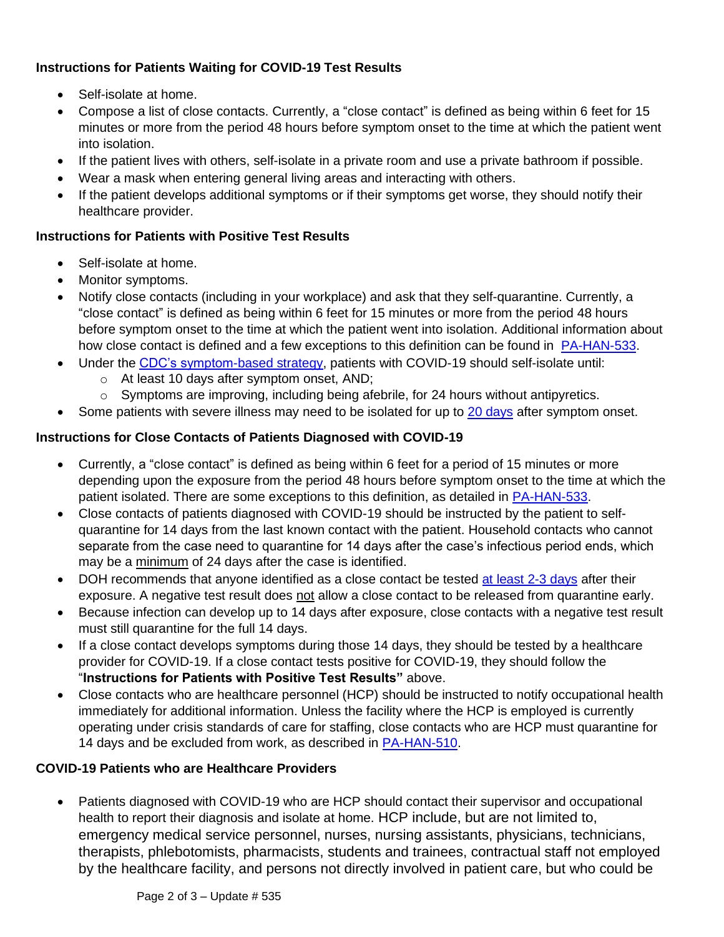## **Instructions for Patients Waiting for COVID-19 Test Results**

- Self-isolate at home.
- Compose a list of close contacts. Currently, a "close contact" is defined as being within 6 feet for 15 minutes or more from the period 48 hours before symptom onset to the time at which the patient went into isolation.
- If the patient lives with others, self-isolate in a private room and use a private bathroom if possible.
- Wear a mask when entering general living areas and interacting with others.
- If the patient develops additional symptoms or if their symptoms get worse, they should notify their healthcare provider.

## **Instructions for Patients with Positive Test Results**

- Self-isolate at home.
- Monitor symptoms.
- Notify close contacts (including in your workplace) and ask that they self-quarantine. Currently, a "close contact" is defined as being within 6 feet for 15 minutes or more from the period 48 hours before symptom onset to the time at which the patient went into isolation. Additional information about how close contact is defined and a few exceptions to this definition can be found in [PA-HAN-533.](https://www.health.pa.gov/topics/Documents/HAN/2020-PAHAN-533-10-26-ADV%20-%20Additiona.pdf)
- Under the [CDC's symptom-based](https://www.cdc.gov/coronavirus/2019-ncov/hcp/disposition-in-home-patients.html) strategy, patients with COVID-19 should self-isolate until:
	- o At least 10 days after symptom onset, AND;
	- o Symptoms are improving, including being afebrile, for 24 hours without antipyretics.
- Some patients with severe illness may need to be isolated for up to [20 days](https://www.cdc.gov/coronavirus/2019-ncov/hcp/duration-isolation.html) after symptom onset.

## **Instructions for Close Contacts of Patients Diagnosed with COVID-19**

- Currently, a "close contact" is defined as being within 6 feet for a period of 15 minutes or more depending upon the exposure from the period 48 hours before symptom onset to the time at which the patient isolated. There are some exceptions to this definition, as detailed in [PA-HAN-533.](https://www.health.pa.gov/topics/Documents/HAN/2020-PAHAN-533-10-26-ADV%20-%20Additiona.pdf)
- Close contacts of patients diagnosed with COVID-19 should be instructed by the patient to selfquarantine for 14 days from the last known contact with the patient. Household contacts who cannot separate from the case need to quarantine for 14 days after the case's infectious period ends, which may be a minimum of 24 days after the case is identified.
- DOH recommends that anyone identified as a close contact be tested [at least 2-3 days](https://www.health.pa.gov/topics/Documents/HAN/2020-PAHAN-525-09-14-ALT%20-%20Guidance.pdf) after their exposure. A negative test result does not allow a close contact to be released from quarantine early.
- Because infection can develop up to 14 days after exposure, close contacts with a negative test result must still quarantine for the full 14 days.
- If a close contact develops symptoms during those 14 days, they should be tested by a healthcare provider for COVID-19. If a close contact tests positive for COVID-19, they should follow the "**Instructions for Patients with Positive Test Results"** above.
- Close contacts who are healthcare personnel (HCP) should be instructed to notify occupational health immediately for additional information. Unless the facility where the HCP is employed is currently operating under crisis standards of care for staffing, close contacts who are HCP must quarantine for 14 days and be excluded from work, as described in [PA-HAN-510.](https://www.health.pa.gov/topics/Documents/HAN/2020-PAHAN-510-06-01-UPD-UPDATE%20Expo.pdf)

## **COVID-19 Patients who are Healthcare Providers**

• Patients diagnosed with COVID-19 who are HCP should contact their supervisor and occupational health to report their diagnosis and isolate at home. HCP include, but are not limited to, emergency medical service personnel, nurses, nursing assistants, physicians, technicians, therapists, phlebotomists, pharmacists, students and trainees, contractual staff not employed by the healthcare facility, and persons not directly involved in patient care, but who could be